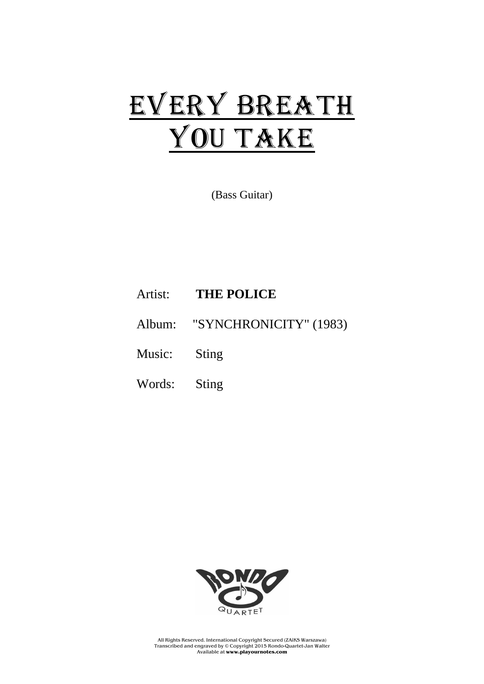## EVERY BREATH YOU TAKE

(Bass Guitar)

Artist: **THE POLICE**

Album: "SYNCHRONICITY" (1983)

Music: Sting

Words: Sting



All Rights Reserved. International Copyright Secured (ZAiKS Warszawa) Transcribed and engraved by © Copyright 2015 Rondo-Quartet-Jan Walter Available at **www.playournotes.com**